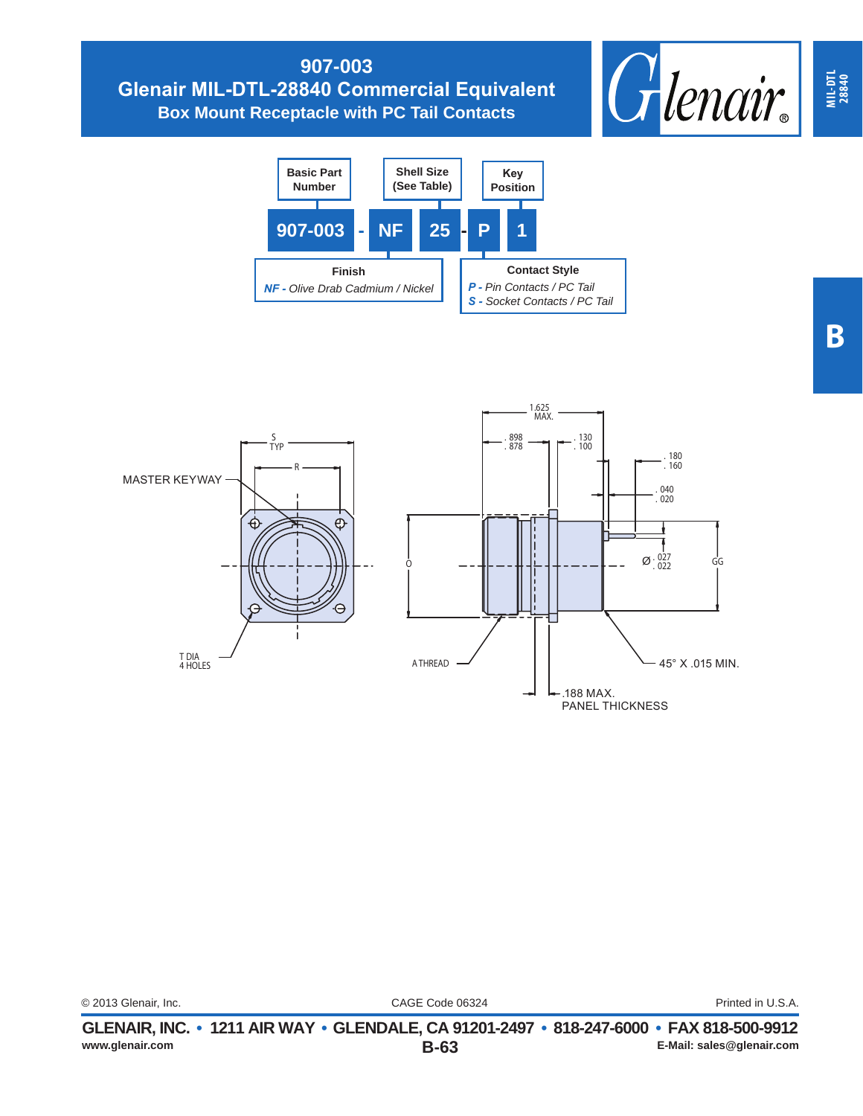## **907-003 Glenair MIL-DTL-28840 Commercial Equivalent Box Mount Receptacle with PC Tail Contacts**







| © 2013 Glenair, Inc. |                                                                     | CAGE Code 06324 |  |  |
|----------------------|---------------------------------------------------------------------|-----------------|--|--|
|                      | CLENAIR INC $\bullet$ 1211 AIR WAY $\bullet$ CLENDALE CA 01201-2407 |                 |  |  |

Printed in U.S.A.